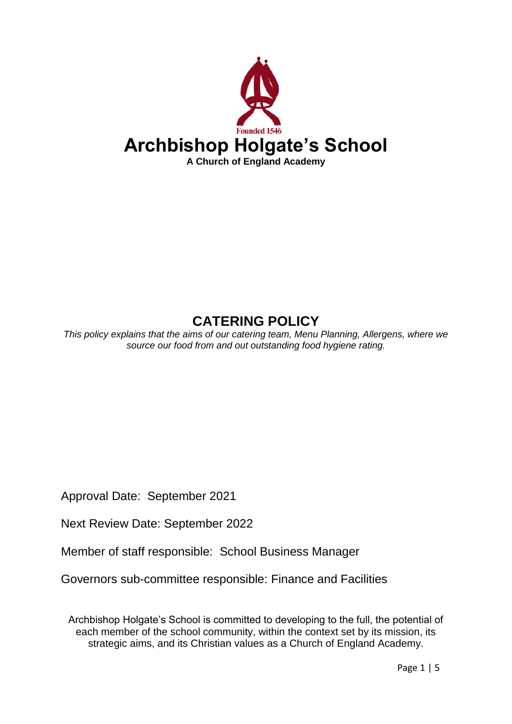

# **CATERING POLICY**

*This policy explains that the aims of our catering team, Menu Planning, Allergens, where we source our food from and out outstanding food hygiene rating.*

Approval Date: September 2021

Next Review Date: September 2022

Member of staff responsible: School Business Manager

Governors sub-committee responsible: Finance and Facilities

Archbishop Holgate's School is committed to developing to the full, the potential of each member of the school community, within the context set by its mission, its strategic aims, and its Christian values as a Church of England Academy.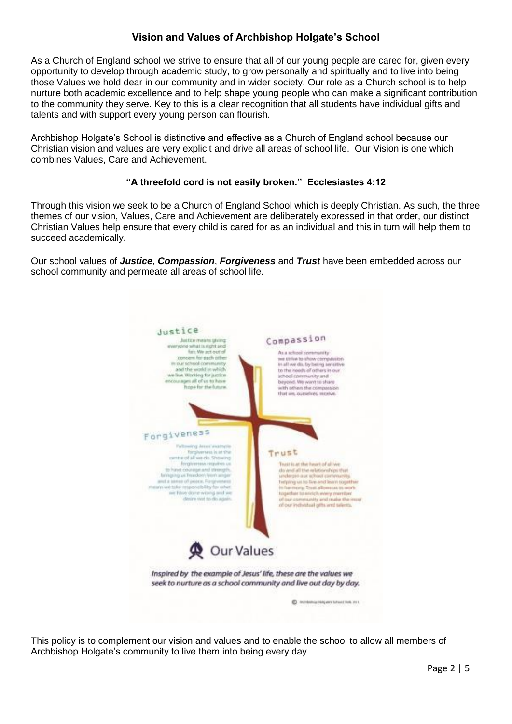## **Vision and Values of Archbishop Holgate's School**

As a Church of England school we strive to ensure that all of our young people are cared for, given every opportunity to develop through academic study, to grow personally and spiritually and to live into being those Values we hold dear in our community and in wider society. Our role as a Church school is to help nurture both academic excellence and to help shape young people who can make a significant contribution to the community they serve. Key to this is a clear recognition that all students have individual gifts and talents and with support every young person can flourish.

Archbishop Holgate's School is distinctive and effective as a Church of England school because our Christian vision and values are very explicit and drive all areas of school life. Our Vision is one which combines Values, Care and Achievement.

#### **"A threefold cord is not easily broken." Ecclesiastes 4:12**

Through this vision we seek to be a Church of England School which is deeply Christian. As such, the three themes of our vision, Values, Care and Achievement are deliberately expressed in that order, our distinct Christian Values help ensure that every child is cared for as an individual and this in turn will help them to succeed academically.

Our school values of *Justice*, *Compassion*, *Forgiveness* and *Trust* have been embedded across our school community and permeate all areas of school life.



This policy is to complement our vision and values and to enable the school to allow all members of Archbishop Holgate's community to live them into being every day.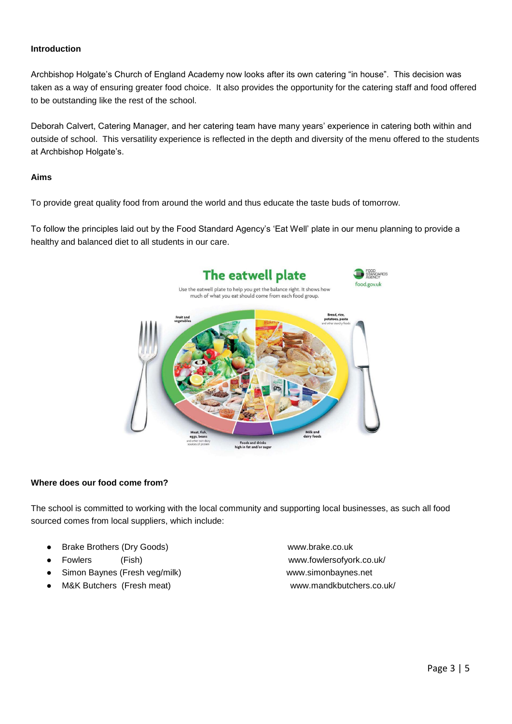#### **Introduction**

Archbishop Holgate's Church of England Academy now looks after its own catering "in house". This decision was taken as a way of ensuring greater food choice. It also provides the opportunity for the catering staff and food offered to be outstanding like the rest of the school.

Deborah Calvert, Catering Manager, and her catering team have many years' experience in catering both within and outside of school. This versatility experience is reflected in the depth and diversity of the menu offered to the students at Archbishop Holgate's.

#### **Aims**

To provide great quality food from around the world and thus educate the taste buds of tomorrow.

To follow the principles laid out by the Food Standard Agency's 'Eat Well' plate in our menu planning to provide a healthy and balanced diet to all students in our care.



#### **Where does our food come from?**

The school is committed to working with the local community and supporting local businesses, as such all food sourced comes from local suppliers, which include:

- Brake Brothers (Dry Goods) www.brake.co.uk
- 
- Simon Baynes (Fresh veg/milk) www.simonbaynes.net
- 

● Fowlers (Fish) www.fowlersofyork.co.uk/ M&K Butchers (Fresh meat) www.mandkbutchers.co.uk/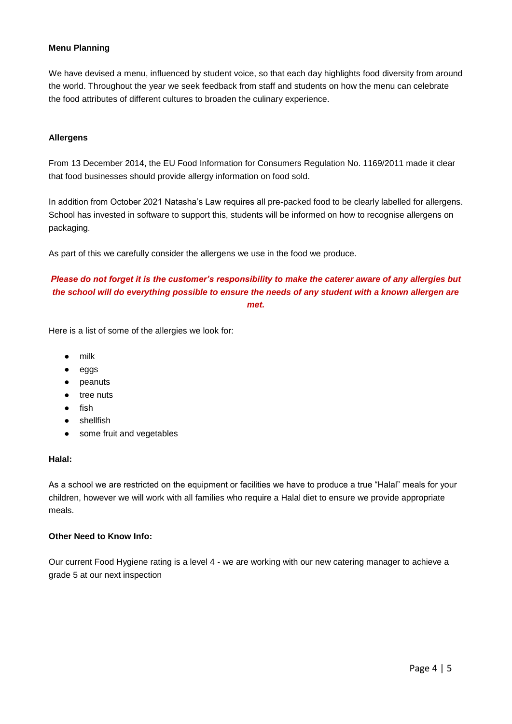#### **Menu Planning**

We have devised a menu, influenced by student voice, so that each day highlights food diversity from around the world. Throughout the year we seek feedback from staff and students on how the menu can celebrate the food attributes of different cultures to broaden the culinary experience.

#### **Allergens**

From 13 December 2014, the EU Food Information for Consumers Regulation No. 1169/2011 made it clear that food businesses should provide allergy information on food sold.

In addition from October 2021 Natasha's Law requires all pre-packed food to be clearly labelled for allergens. School has invested in software to support this, students will be informed on how to recognise allergens on packaging.

As part of this we carefully consider the allergens we use in the food we produce.

### *Please do not forget it is the customer's responsibility to make the caterer aware of any allergies but the school will do everything possible to ensure the needs of any student with a known allergen are met.*

Here is a list of some of the allergies we look for:

- milk
- eggs
- peanuts
- tree nuts
- fish
- shellfish
- some fruit and vegetables

#### **Halal:**

As a school we are restricted on the equipment or facilities we have to produce a true "Halal" meals for your children, however we will work with all families who require a Halal diet to ensure we provide appropriate meals.

#### **Other Need to Know Info:**

Our current Food Hygiene rating is a level 4 - we are working with our new catering manager to achieve a grade 5 at our next inspection